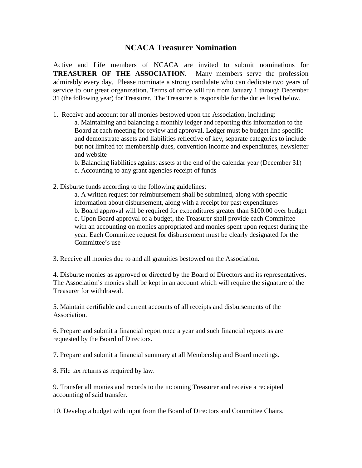## **NCACA Treasurer Nomination**

Active and Life members of NCACA are invited to submit nominations for **TREASURER OF THE ASSOCIATION**. Many members serve the profession admirably every day. Please nominate a strong candidate who can dedicate two years of service to our great organization. Terms of office will run from January 1 through December 31 (the following year) for Treasurer. The Treasurer is responsible for the duties listed below.

- 1. Receive and account for all monies bestowed upon the Association, including:
	- a. Maintaining and balancing a monthly ledger and reporting this information to the Board at each meeting for review and approval. Ledger must be budget line specific and demonstrate assets and liabilities reflective of key, separate categories to include but not limited to: membership dues, convention income and expenditures, newsletter and website

b. Balancing liabilities against assets at the end of the calendar year (December 31)

- c. Accounting to any grant agencies receipt of funds
- 2. Disburse funds according to the following guidelines:

a. A written request for reimbursement shall be submitted, along with specific information about disbursement, along with a receipt for past expenditures b. Board approval will be required for expenditures greater than \$100.00 over budget c. Upon Board approval of a budget, the Treasurer shall provide each Committee with an accounting on monies appropriated and monies spent upon request during the year. Each Committee request for disbursement must be clearly designated for the Committee's use

3. Receive all monies due to and all gratuities bestowed on the Association.

4. Disburse monies as approved or directed by the Board of Directors and its representatives. The Association's monies shall be kept in an account which will require the signature of the Treasurer for withdrawal.

5. Maintain certifiable and current accounts of all receipts and disbursements of the Association.

6. Prepare and submit a financial report once a year and such financial reports as are requested by the Board of Directors.

7. Prepare and submit a financial summary at all Membership and Board meetings.

8. File tax returns as required by law.

9. Transfer all monies and records to the incoming Treasurer and receive a receipted accounting of said transfer.

10. Develop a budget with input from the Board of Directors and Committee Chairs.